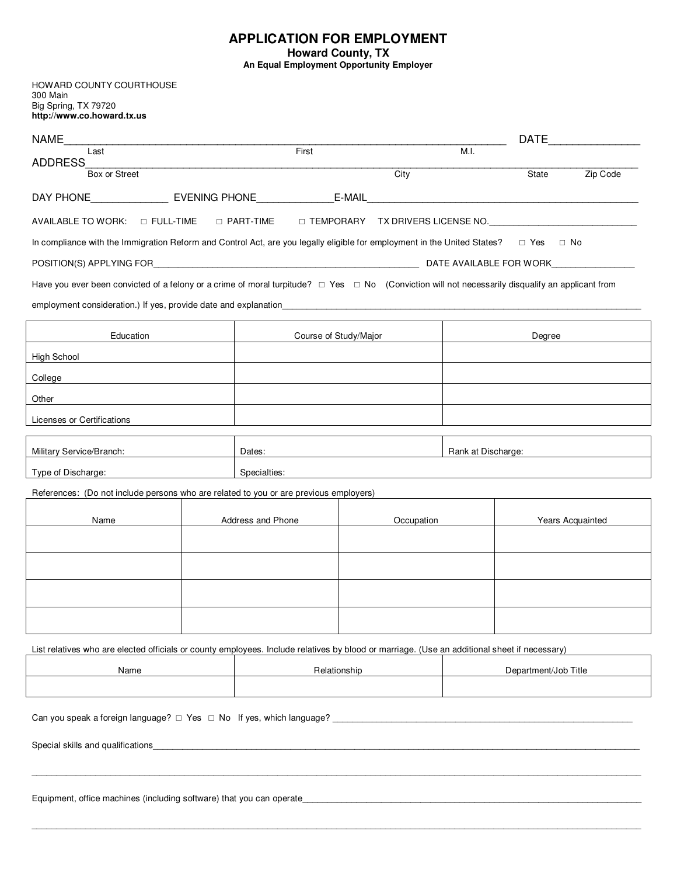## **APPLICATION FOR EMPLOYMENT**

**Howard County, TX** 

**An Equal Employment Opportunity Employer** 

HOWARD COUNTY COURTHOUSE 300 Main Big Spring, TX 79720 **http://www.co.howard.tx.us** 

|                                                                                                                   |                                                      |                                                                                                                                              |       | DATE <b>DATE</b>                                                                                                                                                                                                                                                                                                                                                                                                                                                                                                                    |  |  |
|-------------------------------------------------------------------------------------------------------------------|------------------------------------------------------|----------------------------------------------------------------------------------------------------------------------------------------------|-------|-------------------------------------------------------------------------------------------------------------------------------------------------------------------------------------------------------------------------------------------------------------------------------------------------------------------------------------------------------------------------------------------------------------------------------------------------------------------------------------------------------------------------------------|--|--|
|                                                                                                                   |                                                      |                                                                                                                                              |       |                                                                                                                                                                                                                                                                                                                                                                                                                                                                                                                                     |  |  |
|                                                                                                                   | City                                                 |                                                                                                                                              | State | Zip Code                                                                                                                                                                                                                                                                                                                                                                                                                                                                                                                            |  |  |
|                                                                                                                   |                                                      |                                                                                                                                              |       |                                                                                                                                                                                                                                                                                                                                                                                                                                                                                                                                     |  |  |
| AVAILABLE TO WORK: □ FULL-TIME<br>□ PART-TIME □ TEMPORARY TX DRIVERS LICENSE NO. ________________________________ |                                                      |                                                                                                                                              |       |                                                                                                                                                                                                                                                                                                                                                                                                                                                                                                                                     |  |  |
|                                                                                                                   |                                                      |                                                                                                                                              |       |                                                                                                                                                                                                                                                                                                                                                                                                                                                                                                                                     |  |  |
|                                                                                                                   |                                                      |                                                                                                                                              |       |                                                                                                                                                                                                                                                                                                                                                                                                                                                                                                                                     |  |  |
|                                                                                                                   |                                                      |                                                                                                                                              |       |                                                                                                                                                                                                                                                                                                                                                                                                                                                                                                                                     |  |  |
|                                                                                                                   |                                                      |                                                                                                                                              |       |                                                                                                                                                                                                                                                                                                                                                                                                                                                                                                                                     |  |  |
|                                                                                                                   | Degree                                               |                                                                                                                                              |       |                                                                                                                                                                                                                                                                                                                                                                                                                                                                                                                                     |  |  |
|                                                                                                                   |                                                      |                                                                                                                                              |       |                                                                                                                                                                                                                                                                                                                                                                                                                                                                                                                                     |  |  |
|                                                                                                                   |                                                      |                                                                                                                                              |       |                                                                                                                                                                                                                                                                                                                                                                                                                                                                                                                                     |  |  |
|                                                                                                                   |                                                      |                                                                                                                                              |       |                                                                                                                                                                                                                                                                                                                                                                                                                                                                                                                                     |  |  |
|                                                                                                                   |                                                      |                                                                                                                                              |       |                                                                                                                                                                                                                                                                                                                                                                                                                                                                                                                                     |  |  |
|                                                                                                                   |                                                      |                                                                                                                                              |       |                                                                                                                                                                                                                                                                                                                                                                                                                                                                                                                                     |  |  |
|                                                                                                                   |                                                      |                                                                                                                                              |       |                                                                                                                                                                                                                                                                                                                                                                                                                                                                                                                                     |  |  |
|                                                                                                                   |                                                      |                                                                                                                                              |       |                                                                                                                                                                                                                                                                                                                                                                                                                                                                                                                                     |  |  |
|                                                                                                                   |                                                      |                                                                                                                                              |       |                                                                                                                                                                                                                                                                                                                                                                                                                                                                                                                                     |  |  |
|                                                                                                                   |                                                      |                                                                                                                                              |       |                                                                                                                                                                                                                                                                                                                                                                                                                                                                                                                                     |  |  |
|                                                                                                                   |                                                      |                                                                                                                                              |       |                                                                                                                                                                                                                                                                                                                                                                                                                                                                                                                                     |  |  |
|                                                                                                                   |                                                      |                                                                                                                                              |       |                                                                                                                                                                                                                                                                                                                                                                                                                                                                                                                                     |  |  |
|                                                                                                                   |                                                      |                                                                                                                                              |       |                                                                                                                                                                                                                                                                                                                                                                                                                                                                                                                                     |  |  |
|                                                                                                                   |                                                      |                                                                                                                                              |       |                                                                                                                                                                                                                                                                                                                                                                                                                                                                                                                                     |  |  |
|                                                                                                                   |                                                      |                                                                                                                                              |       |                                                                                                                                                                                                                                                                                                                                                                                                                                                                                                                                     |  |  |
|                                                                                                                   |                                                      |                                                                                                                                              |       |                                                                                                                                                                                                                                                                                                                                                                                                                                                                                                                                     |  |  |
|                                                                                                                   |                                                      |                                                                                                                                              |       |                                                                                                                                                                                                                                                                                                                                                                                                                                                                                                                                     |  |  |
|                                                                                                                   |                                                      |                                                                                                                                              |       |                                                                                                                                                                                                                                                                                                                                                                                                                                                                                                                                     |  |  |
|                                                                                                                   |                                                      |                                                                                                                                              |       |                                                                                                                                                                                                                                                                                                                                                                                                                                                                                                                                     |  |  |
|                                                                                                                   |                                                      |                                                                                                                                              |       |                                                                                                                                                                                                                                                                                                                                                                                                                                                                                                                                     |  |  |
|                                                                                                                   |                                                      |                                                                                                                                              |       |                                                                                                                                                                                                                                                                                                                                                                                                                                                                                                                                     |  |  |
|                                                                                                                   | First<br>Dates:<br>Specialties:<br>Address and Phone | Course of Study/Major<br>References: (Do not include persons who are related to you or are previous employers)<br>Occupation<br>Relationship | M.I.  | In compliance with the Immigration Reform and Control Act, are you legally eligible for employment in the United States? $\square$ Yes $\square$ No<br>Have you ever been convicted of a felony or a crime of moral turpitude? $\Box$ Yes $\Box$ No (Conviction will not necessarily disqualify an applicant from<br>Rank at Discharge:<br>Years Acquainted<br>List relatives who are elected officials or county employees. Include relatives by blood or marriage. (Use an additional sheet if necessary)<br>Department/Job Title |  |  |

\_\_\_\_\_\_\_\_\_\_\_\_\_\_\_\_\_\_\_\_\_\_\_\_\_\_\_\_\_\_\_\_\_\_\_\_\_\_\_\_\_\_\_\_\_\_\_\_\_\_\_\_\_\_\_\_\_\_\_\_\_\_\_\_\_\_\_\_\_\_\_\_\_\_\_\_\_\_\_\_\_\_\_\_\_\_\_\_\_\_\_\_\_\_\_\_\_\_\_\_\_\_\_\_\_\_\_\_\_\_\_\_\_\_\_\_\_\_\_\_\_\_\_\_

Equipment, office machines (including software) that you can operate\_